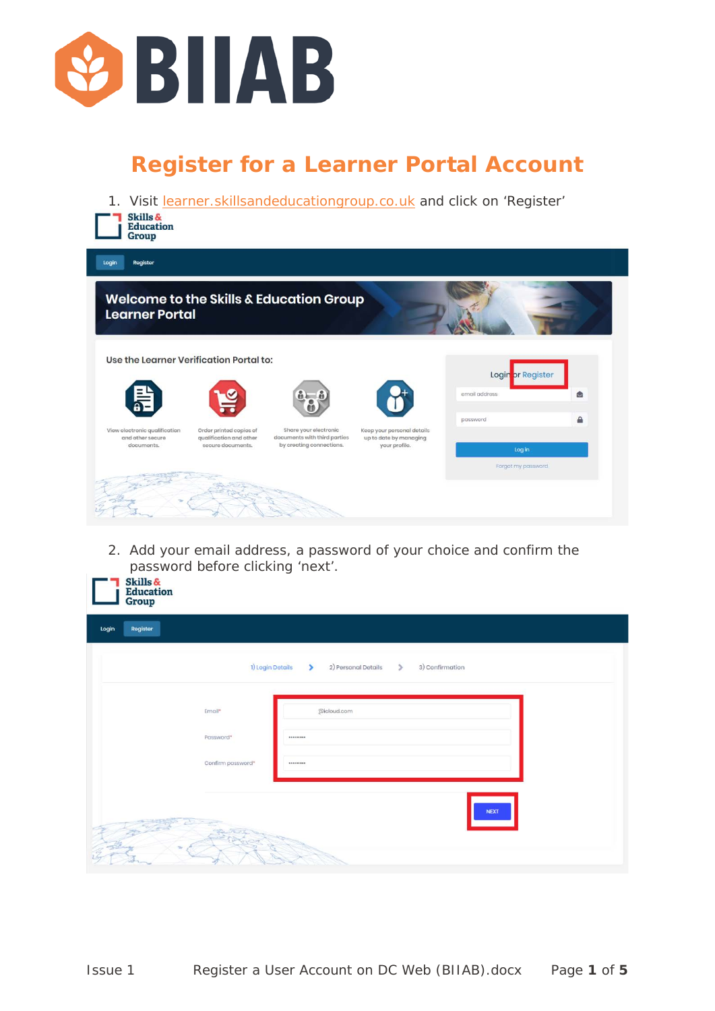

## **Register for a Learner Portal Account**

| Skills &<br><b>Education</b><br>Group             |                                                    |                                                       |                                                      | 1. Visit learner.skillsandeducationgroup.co.uk and click on 'Register' |           |
|---------------------------------------------------|----------------------------------------------------|-------------------------------------------------------|------------------------------------------------------|------------------------------------------------------------------------|-----------|
| Register<br>Login                                 |                                                    |                                                       |                                                      |                                                                        |           |
| <b>Learner Portal</b>                             |                                                    | Welcome to the Skills & Education Group               |                                                      |                                                                        |           |
| Use the Learner Verification Portal to:           |                                                    |                                                       |                                                      |                                                                        |           |
|                                                   |                                                    |                                                       |                                                      | Login or Register<br>email address                                     | $\bullet$ |
| View electronic qualification<br>and other secure | Order printed copies of<br>qualification and other | Share your electronic<br>documents with third parties | Keep your personal details<br>up to date by managing | password                                                               | €         |
| documents.                                        | secure documents.                                  | by creating connections.                              | your profile.                                        | Log in<br>Forgot my password                                           |           |
|                                                   |                                                    |                                                       |                                                      |                                                                        |           |

2. Add your email address, a password of your choice and confirm the password before clicking 'next'.

|                   | 1) Login Details<br>$\rightarrow$<br>2) Personal Details<br>$\rightarrow$<br>3) Confirmation |
|-------------------|----------------------------------------------------------------------------------------------|
| Email*            | @icloud.com                                                                                  |
| Password*         |                                                                                              |
| Confirm password* | *********                                                                                    |
|                   |                                                                                              |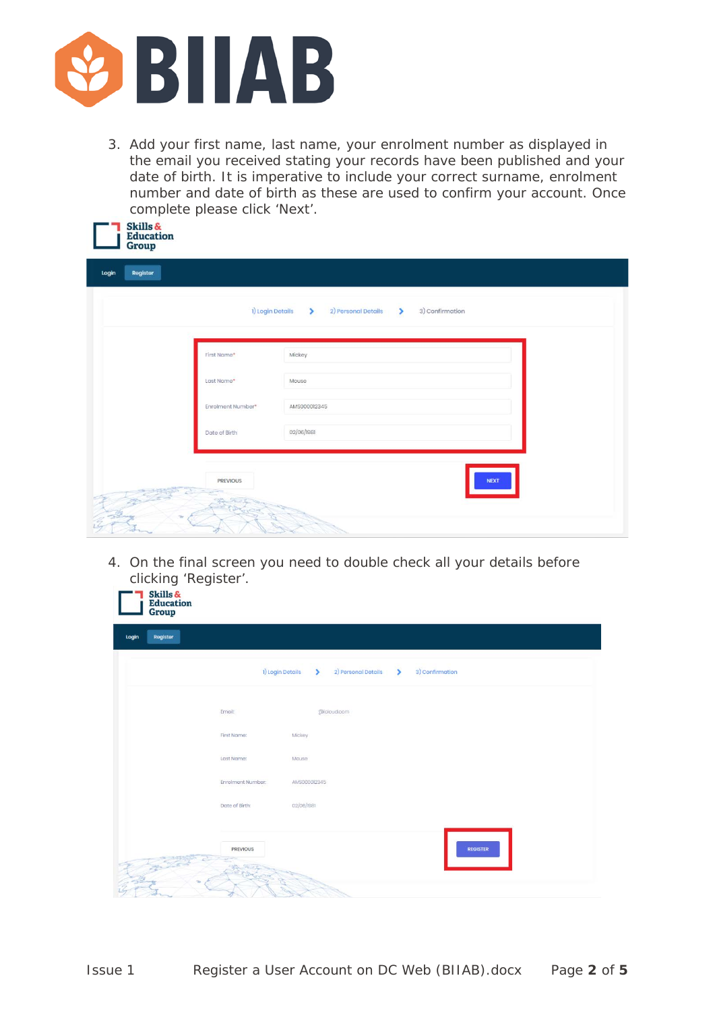

3. Add your first name, last name, your enrolment number as displayed in the email you received stating your records have been published and your date of birth. It is imperative to include your correct surname, enrolment number and date of birth as these are used to confirm your account. Once complete please click 'Next'.

| SKIIIS &<br>Education<br>Group |                   |                                                                             |
|--------------------------------|-------------------|-----------------------------------------------------------------------------|
| Register<br>Login              |                   |                                                                             |
|                                |                   | 1) Login Details<br>2) Personal Details<br>3) Confirmation<br>$\rightarrow$ |
|                                | First Name*       | Mickey                                                                      |
|                                | Last Name*        | Mouse                                                                       |
|                                | Enrolment Number* | AMS000012345                                                                |
|                                | Date of Birth     | 02/06/1981                                                                  |
|                                | <b>PREVIOUS</b>   | <b>NEXT</b>                                                                 |
|                                |                   |                                                                             |

4. On the final screen you need to double check all your details before clicking 'Register'.

|                   | 1) Login Details<br>2) Personal Details<br>3) Confirmation |  |
|-------------------|------------------------------------------------------------|--|
| Email:            | @icloud.com                                                |  |
| First Name:       | Mickey                                                     |  |
| Last Name:        | Mouse                                                      |  |
| Enrolment Number: | AMS0000l2345                                               |  |
| Date of Birth:    | 02/06/1981                                                 |  |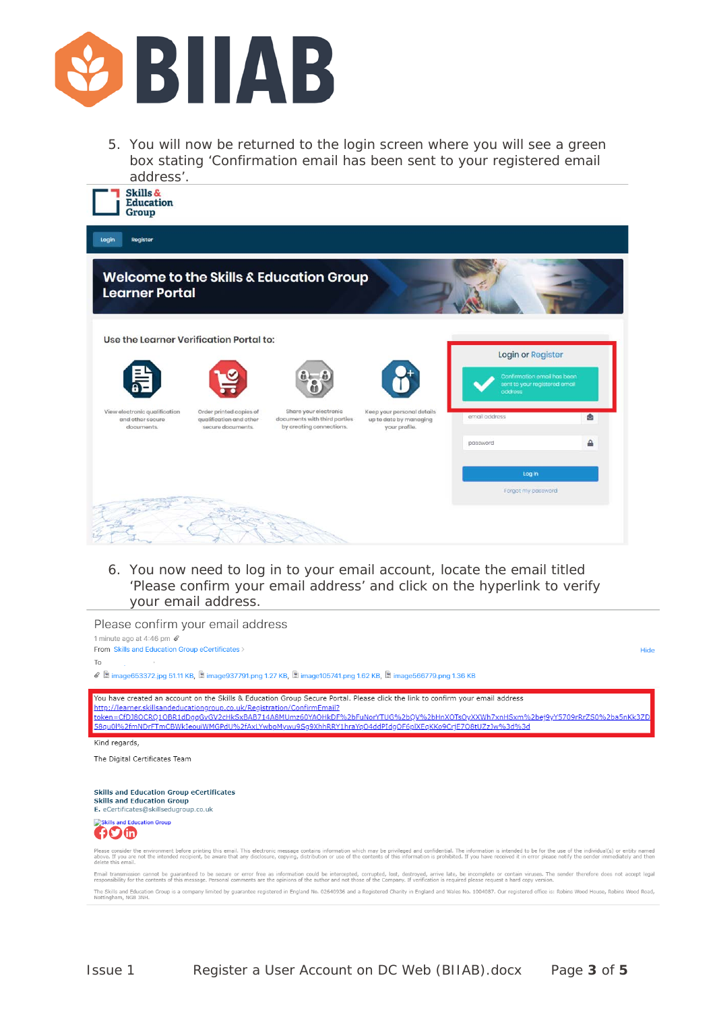

5. You will now be returned to the login screen where you will see a green box stating 'Confirmation email has been sent to your registered email address'.



| Register<br>Login                                               |                                                                         |                                                                                   |                                                                       |                                                                                              |        |
|-----------------------------------------------------------------|-------------------------------------------------------------------------|-----------------------------------------------------------------------------------|-----------------------------------------------------------------------|----------------------------------------------------------------------------------------------|--------|
| <b>Learner Portal</b>                                           |                                                                         | <b>Welcome to the Skills &amp; Education Group</b>                                |                                                                       |                                                                                              |        |
| Use the Learner Verification Portal to:<br>$\frac{1}{2}$        |                                                                         | $\mathbf{a} = \mathbf{a}$                                                         |                                                                       | Login or Register<br>Confirmation email has been<br>sent to your registered email<br>oddress |        |
| View electronic qualification<br>and other secure<br>documents. | Order printed copies of<br>qualification and other<br>secure documents. | Share your electronic<br>documents with third parties<br>by creating connections. | Keep your personal details<br>up to date by managing<br>your profile. | email address<br>password                                                                    | ۵<br>А |
|                                                                 |                                                                         |                                                                                   |                                                                       | Log in<br>Forgot my password                                                                 |        |
|                                                                 |                                                                         |                                                                                   |                                                                       |                                                                                              |        |

6. You now need to log in to your email account, locate the email titled 'Please confirm your email address' and click on the hyperlink to verify your email address.

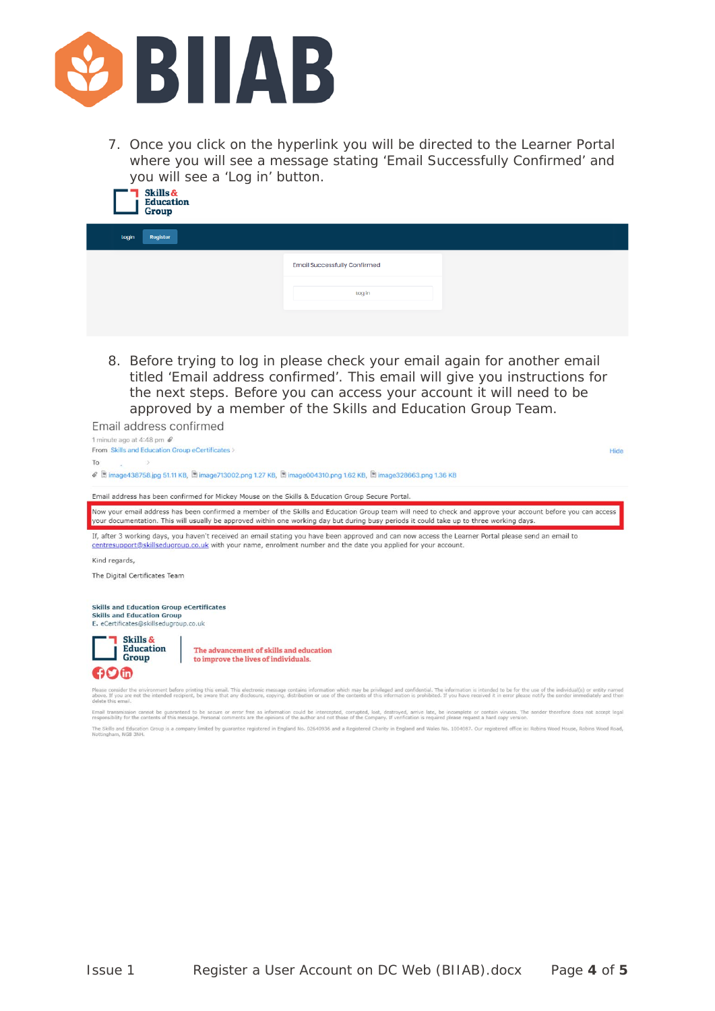

7. Once you click on the hyperlink you will be directed to the Learner Portal where you will see a message stating 'Email Successfully Confirmed' and you will see a 'Log in' button.<br>**7** Skills &



| <b>Stop</b>       |                                     |
|-------------------|-------------------------------------|
| Login<br>Rogistor |                                     |
|                   | <b>Email Successfully Confirmed</b> |
|                   | Log in                              |
|                   |                                     |

8. Before trying to log in please check your email again for another email titled 'Email address confirmed'. This email will give you instructions for the next steps. Before you can access your account it will need to be approved by a member of the Skills and Education Group Team.

Email address confirmed



Email transmission cannot be guaranteed to be secure or error free as information could be intercepted, corrupted, lost, destroyed, arrive late, be incomplete or contain viruses. The sender therefore does not accept legal<br>

The Skills and Education Group is a company limited by guarantee registered in England No. 02640936 and a Registered Charity in England and Wales No. 1004087. Our registered office is: Robins Wood House, Rol